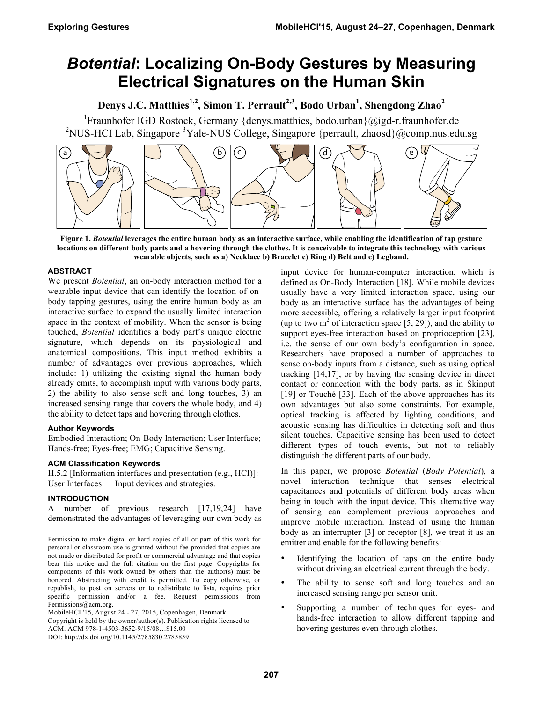# *Botential***: Localizing On-Body Gestures by Measuring Electrical Signatures on the Human Skin**

**Denys J.C. Matthies1,2, Simon T. Perrault2,3, Bodo Urban1 , Shengdong Zhao<sup>2</sup>**

<sup>1</sup>Fraunhofer IGD Rostock, Germany {denys.matthies, bodo.urban}@igd-r.fraunhofer.de <sup>2</sup>NUS-HCI Lab, Singapore <sup>3</sup>Yale-NUS College, Singapore {perrault, zhaosd}@comp.nus.edu.sg



**Figure 1.** *Botential* **leverages the entire human body as an interactive surface, while enabling the identification of tap gesture locations on different body parts and a hovering through the clothes. It is conceivable to integrate this technology with various wearable objects, such as a) Necklace b) Bracelet c) Ring d) Belt and e) Legband.**

# **ABSTRACT**

We present *Botential*, an on-body interaction method for a wearable input device that can identify the location of onbody tapping gestures, using the entire human body as an interactive surface to expand the usually limited interaction space in the context of mobility. When the sensor is being touched, *Botential* identifies a body part's unique electric signature, which depends on its physiological and anatomical compositions. This input method exhibits a number of advantages over previous approaches, which include: 1) utilizing the existing signal the human body already emits, to accomplish input with various body parts, 2) the ability to also sense soft and long touches, 3) an increased sensing range that covers the whole body, and 4) the ability to detect taps and hovering through clothes.

# **Author Keywords**

Embodied Interaction; On-Body Interaction; User Interface; Hands-free; Eyes-free; EMG; Capacitive Sensing.

# **ACM Classification Keywords**

H.5.2 [Information interfaces and presentation (e.g., HCI)]: User Interfaces — Input devices and strategies.

# **INTRODUCTION**

A number of previous research [17,19,24] have demonstrated the advantages of leveraging our own body as

Permission to make digital or hard copies of all or part of this work for personal or classroom use is granted without fee provided that copies are not made or distributed for profit or commercial advantage and that copies bear this notice and the full citation on the first page. Copyrights for components of this work owned by others than the author(s) must be honored. Abstracting with credit is permitted. To copy otherwise, or republish, to post on servers or to redistribute to lists, requires prior specific permission and/or a fee. Request permissions from Permissions@acm.org.

MobileHCI '15, August 24 - 27, 2015, Copenhagen, Denmark Copyright is held by the owner/author(s). Publication rights licensed to ACM. ACM 978-1-4503-3652-9/15/08…\$15.00 DOI: http://dx.doi.org/10.1145/2785830.2785859

input device for human-computer interaction, which is defined as On-Body Interaction [18]. While mobile devices usually have a very limited interaction space, using our body as an interactive surface has the advantages of being more accessible, offering a relatively larger input footprint (up to two  $m<sup>2</sup>$  of interaction space [5, 29]), and the ability to support eyes-free interaction based on proprioception [23], i.e. the sense of our own body's configuration in space. Researchers have proposed a number of approaches to sense on-body inputs from a distance, such as using optical tracking [14,17], or by having the sensing device in direct contact or connection with the body parts, as in Skinput [19] or Touché [33]. Each of the above approaches has its own advantages but also some constraints. For example, optical tracking is affected by lighting conditions, and acoustic sensing has difficulties in detecting soft and thus silent touches. Capacitive sensing has been used to detect different types of touch events, but not to reliably distinguish the different parts of our body.

In this paper, we propose *Botential* (*Body Potential*), a novel interaction technique that senses electrical capacitances and potentials of different body areas when being in touch with the input device. This alternative way of sensing can complement previous approaches and improve mobile interaction. Instead of using the human body as an interrupter [3] or receptor [8], we treat it as an emitter and enable for the following benefits:

- Identifying the location of taps on the entire body without driving an electrical current through the body.
- The ability to sense soft and long touches and an increased sensing range per sensor unit.
- Supporting a number of techniques for eyes- and hands-free interaction to allow different tapping and hovering gestures even through clothes.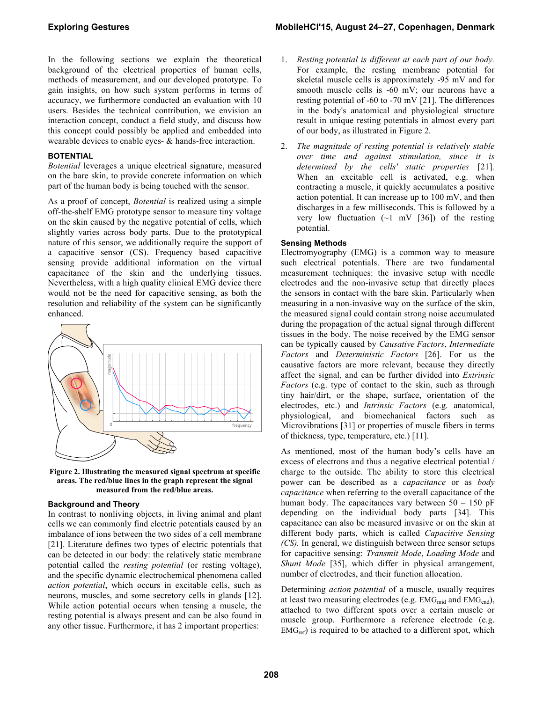**Exploring Gestures MobileHCI'15, August 24–27, Copenhagen, Denmark**

In the following sections we explain the theoretical background of the electrical properties of human cells, methods of measurement, and our developed prototype. To gain insights, on how such system performs in terms of accuracy, we furthermore conducted an evaluation with 10 users. Besides the technical contribution, we envision an interaction concept, conduct a field study, and discuss how this concept could possibly be applied and embedded into wearable devices to enable eyes- & hands-free interaction.

# **BOTENTIAL**

*Botential* leverages a unique electrical signature, measured on the bare skin, to provide concrete information on which part of the human body is being touched with the sensor.

As a proof of concept, *Botential* is realized using a simple off-the-shelf EMG prototype sensor to measure tiny voltage on the skin caused by the negative potential of cells, which slightly varies across body parts. Due to the prototypical nature of this sensor, we additionally require the support of a capacitive sensor (CS). Frequency based capacitive sensing provide additional information on the virtual capacitance of the skin and the underlying tissues. Nevertheless, with a high quality clinical EMG device there would not be the need for capacitive sensing, as both the resolution and reliability of the system can be significantly enhanced.



**Figure 2. Illustrating the measured signal spectrum at specific areas. The red/blue lines in the graph represent the signal measured from the red/blue areas.**

#### **Background and Theory**

In contrast to nonliving objects, in living animal and plant cells we can commonly find electric potentials caused by an imbalance of ions between the two sides of a cell membrane [21]. Literature defines two types of electric potentials that can be detected in our body: the relatively static membrane potential called the *resting potential* (or resting voltage), and the specific dynamic electrochemical phenomena called *action potential*, which occurs in excitable cells, such as neurons, muscles, and some secretory cells in glands [12]. While action potential occurs when tensing a muscle, the resting potential is always present and can be also found in any other tissue. Furthermore, it has 2 important properties:

- 1. *Resting potential is different at each part of our body.* For example, the resting membrane potential for skeletal muscle cells is approximately -95 mV and for smooth muscle cells is -60 mV; our neurons have a resting potential of -60 to -70 mV [21]. The differences in the body's anatomical and physiological structure result in unique resting potentials in almost every part of our body, as illustrated in Figure 2.
- 2. *The magnitude of resting potential is relatively stable over time and against stimulation, since it is determined by the cells' static properties* [21]*.* When an excitable cell is activated, e.g. when contracting a muscle, it quickly accumulates a positive action potential. It can increase up to 100 mV, and then discharges in a few milliseconds. This is followed by a very low fluctuation  $(-1 \text{ mV} [36])$  of the resting potential.

#### **Sensing Methods**

Electromyography (EMG) is a common way to measure such electrical potentials. There are two fundamental measurement techniques: the invasive setup with needle electrodes and the non-invasive setup that directly places the sensors in contact with the bare skin. Particularly when measuring in a non-invasive way on the surface of the skin, the measured signal could contain strong noise accumulated during the propagation of the actual signal through different tissues in the body. The noise received by the EMG sensor can be typically caused by *Causative Factors*, *Intermediate Factors* and *Deterministic Factors* [26]. For us the causative factors are more relevant, because they directly affect the signal, and can be further divided into *Extrinsic Factors* (e.g. type of contact to the skin, such as through tiny hair/dirt, or the shape, surface, orientation of the electrodes, etc.) and *Intrinsic Factors* (e.g. anatomical, physiological, and biomechanical factors such as Microvibrations [31] or properties of muscle fibers in terms of thickness, type, temperature, etc.) [11].

As mentioned, most of the human body's cells have an excess of electrons and thus a negative electrical potential / charge to the outside. The ability to store this electrical power can be described as a *capacitance* or as *body capacitance* when referring to the overall capacitance of the human body. The capacitances vary between  $50 - 150$  pF depending on the individual body parts [34]. This capacitance can also be measured invasive or on the skin at different body parts, which is called *Capacitive Sensing (CS).* In general, we distinguish between three sensor setups for capacitive sensing: *Transmit Mode*, *Loading Mode* and *Shunt Mode* [35], which differ in physical arrangement, number of electrodes, and their function allocation.

Determining *action potential* of a muscle, usually requires at least two measuring electrodes (e.g. EMG<sub>mid</sub> and EMG<sub>end</sub>), attached to two different spots over a certain muscle or muscle group. Furthermore a reference electrode (e.g.  $EMG_{ref}$ ) is required to be attached to a different spot, which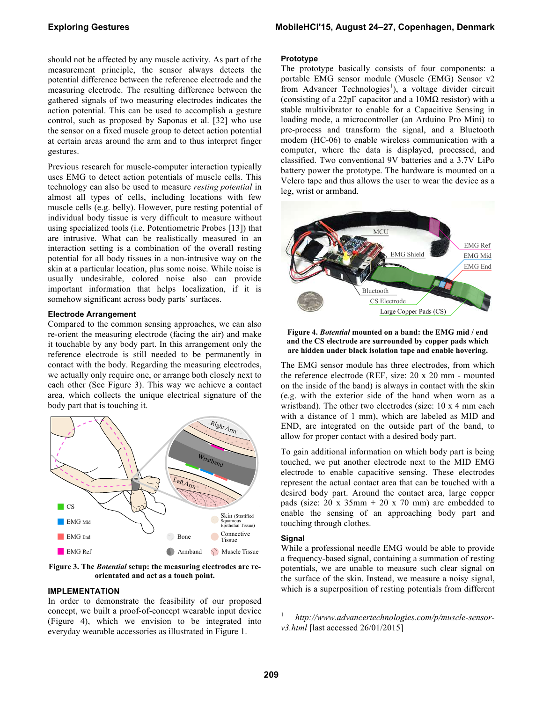should not be affected by any muscle activity. As part of the measurement principle, the sensor always detects the potential difference between the reference electrode and the measuring electrode. The resulting difference between the gathered signals of two measuring electrodes indicates the action potential. This can be used to accomplish a gesture control, such as proposed by Saponas et al. [32] who use the sensor on a fixed muscle group to detect action potential at certain areas around the arm and to thus interpret finger gestures.

Previous research for muscle-computer interaction typically uses EMG to detect action potentials of muscle cells. This technology can also be used to measure *resting potential* in almost all types of cells, including locations with few muscle cells (e.g. belly). However, pure resting potential of individual body tissue is very difficult to measure without using specialized tools (i.e. Potentiometric Probes [13]) that are intrusive. What can be realistically measured in an interaction setting is a combination of the overall resting potential for all body tissues in a non-intrusive way on the skin at a particular location, plus some noise. While noise is usually undesirable, colored noise also can provide important information that helps localization, if it is somehow significant across body parts' surfaces.

#### **Electrode Arrangement**

Compared to the common sensing approaches, we can also re-orient the measuring electrode (facing the air) and make it touchable by any body part. In this arrangement only the reference electrode is still needed to be permanently in contact with the body. Regarding the measuring electrodes, we actually only require one, or arrange both closely next to each other (See Figure 3). This way we achieve a contact area, which collects the unique electrical signature of the body part that is touching it.



**Figure 3. The** *Botential* **setup: the measuring electrodes are reorientated and act as a touch point.**

#### **IMPLEMENTATION**

In order to demonstrate the feasibility of our proposed concept, we built a proof-of-concept wearable input device (Figure 4), which we envision to be integrated into everyday wearable accessories as illustrated in Figure 1.

#### **Prototype**

The prototype basically consists of four components: a portable EMG sensor module (Muscle (EMG) Sensor v2 from Advancer Technologies<sup>1</sup>), a voltage divider circuit (consisting of a 22pF capacitor and a 10MΩ resistor) with a stable multivibrator to enable for a Capacitive Sensing in loading mode, a microcontroller (an Arduino Pro Mini) to pre-process and transform the signal, and a Bluetooth modem (HC-06) to enable wireless communication with a computer, where the data is displayed, processed, and classified. Two conventional 9V batteries and a 3.7V LiPo battery power the prototype. The hardware is mounted on a Velcro tape and thus allows the user to wear the device as a leg, wrist or armband.



#### **Figure 4.** *Botential* **mounted on a band: the EMG mid / end and the CS electrode are surrounded by copper pads which are hidden under black isolation tape and enable hovering.**

The EMG sensor module has three electrodes, from which the reference electrode (REF, size: 20 x 20 mm - mounted on the inside of the band) is always in contact with the skin (e.g. with the exterior side of the hand when worn as a wristband). The other two electrodes (size: 10 x 4 mm each with a distance of 1 mm), which are labeled as MID and END, are integrated on the outside part of the band, to allow for proper contact with a desired body part.

To gain additional information on which body part is being touched, we put another electrode next to the MID EMG electrode to enable capacitive sensing. These electrodes represent the actual contact area that can be touched with a desired body part. Around the contact area, large copper pads (size:  $20 \times 35$ mm +  $20 \times 70$  mm) are embedded to enable the sensing of an approaching body part and touching through clothes.

### **Signal**

j

While a professional needle EMG would be able to provide a frequency-based signal, containing a summation of resting potentials, we are unable to measure such clear signal on the surface of the skin. Instead, we measure a noisy signal, which is a superposition of resting potentials from different

<sup>1</sup> *http://www.advancertechnologies.com/p/muscle-sensorv3.html* [last accessed 26/01/2015]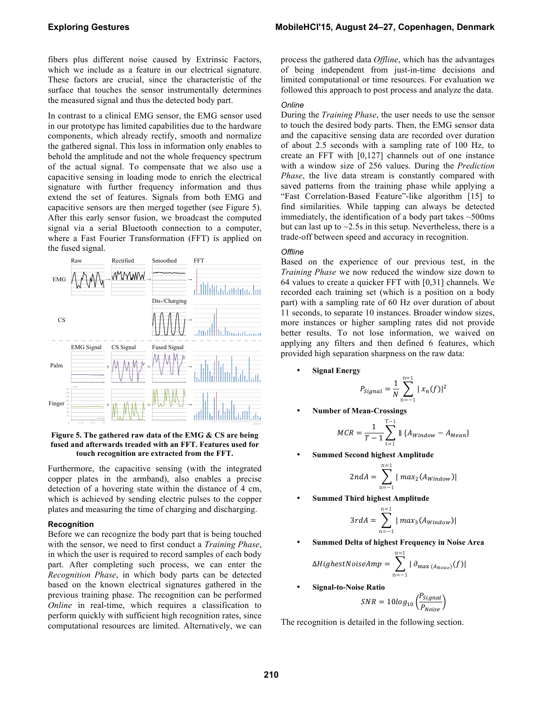fibers plus different noise caused by Extrinsic Factors, which we include as a feature in our electrical signature. These factors are crucial, since the characteristic of the surface that touches the sensor instrumentally determines the measured signal and thus the detected body part.

In contrast to a clinical EMG sensor, the EMG sensor used in our prototype has limited capabilities due to the hardware components, which already rectify, smooth and normalize the gathered signal. This loss in information only enables to behold the amplitude and not the whole frequency spectrum of the actual signal. To compensate that we also use a capacitive sensing in loading mode to enrich the electrical signature with further frequency information and thus extend the set of features. Signals from both EMG and capacitive sensors are then merged together (see Figure 5). After this early sensor fusion, we broadcast the computed signal via a serial Bluetooth connection to a computer, where a Fast Fourier Transformation (FFT) is applied on the fused signal.



#### **Figure 5. The gathered raw data of the EMG & CS are being fused and afterwards treaded with an FFT. Features used for touch recognition are extracted from the FFT.**

Furthermore, the capacitive sensing (with the integrated copper plates in the armband), also enables a precise detection of a hovering state within the distance of 4 cm, which is achieved by sending electric pulses to the copper plates and measuring the time of charging and discharging.

#### **Recognition**

Before we can recognize the body part that is being touched with the sensor, we need to first conduct a *Training Phase*, in which the user is required to record samples of each body part. After completing such process, we can enter the *Recognition Phase*, in which body parts can be detected based on the known electrical signatures gathered in the previous training phase. The recognition can be performed *Online* in real-time, which requires a classification to perform quickly with sufficient high recognition rates, since computational resources are limited. Alternatively, we can process the gathered data *Offline*, which has the advantages of being independent from just-in-time decisions and limited computational or time resources. For evaluation we followed this approach to post process and analyze the data.

#### *Online*

During the *Training Phase*, the user needs to use the sensor to touch the desired body parts. Then, the EMG sensor data and the capacitive sensing data are recorded over duration of about 2.5 seconds with a sampling rate of 100 Hz, to create an FFT with [0,127] channels out of one instance with a window size of 256 values. During the *Prediction Phase*, the live data stream is constantly compared with saved patterns from the training phase while applying a "Fast Correlation-Based Feature"-like algorithm [15] to find similarities. While tapping can always be detected immediately, the identification of a body part takes  $~500 \text{ms}$ but can last up to  $\sim$ 2.5s in this setup. Nevertheless, there is a trade-off between speed and accuracy in recognition.

# *Offline*

Based on the experience of our previous test, in the *Training Phase* we now reduced the window size down to 64 values to create a quicker FFT with [0,31] channels. We recorded each training set (which is a position on a body part) with a sampling rate of 60 Hz over duration of about 11 seconds, to separate 10 instances. Broader window sizes, more instances or higher sampling rates did not provide better results. To not lose information, we waived on applying any filters and then defined 6 features, which provided high separation sharpness on the raw data:

**Signal Energy**

$$
P_{signal} = \frac{1}{N} \sum_{n=-1}^{n=1} |x_n(f)|^2
$$

**Number of Mean-Crossings**

$$
MCR = \frac{1}{T - 1} \sum_{t=1}^{T-1} \parallel \{A_{Window} - A_{Mean}\}\
$$

**Summed Second highest Amplitude**

$$
2ndA = \sum_{n=-1}^{n=1} |max_2(A_{Window})|
$$

**Summed Third highest Amplitude**

$$
3rdA = \sum_{n=-1}^{n=1} |max_3(A_{Window})|
$$

**Summed Delta of highest Frequency in Noise Area**

$$
\Delta High est NoiseAmp = \sum_{n=-1}^{n=1} |\partial_{\max (A_{Noise})}(f)|
$$

**Signal-to-Noise Ratio**

$$
SNR = 10log_{10}\left(\frac{P_{Signal}}{P_{Noise}}\right)
$$

The recognition is detailed in the following section.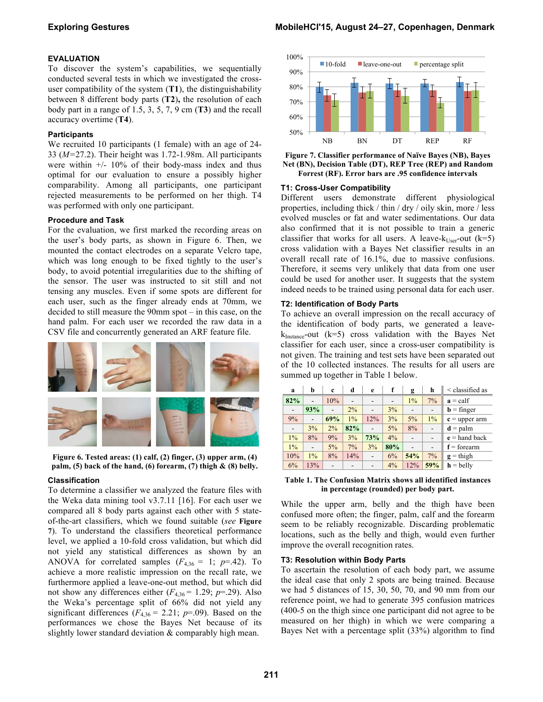# **EVALUATION**

To discover the system's capabilities, we sequentially conducted several tests in which we investigated the crossuser compatibility of the system (**T1**), the distinguishability between 8 different body parts (**T2**)**,** the resolution of each body part in a range of 1.5, 3, 5, 7, 9 cm (**T3**) and the recall accuracy overtime (**T4**).

#### **Participants**

We recruited 10 participants (1 female) with an age of 24- 33 (*M=*27.2). Their height was 1.72-1.98m. All participants were within  $+/- 10\%$  of their body-mass index and thus optimal for our evaluation to ensure a possibly higher comparability. Among all participants, one participant rejected measurements to be performed on her thigh. T4 was performed with only one participant.

#### **Procedure and Task**

For the evaluation, we first marked the recording areas on the user's body parts, as shown in Figure 6. Then, we mounted the contact electrodes on a separate Velcro tape, which was long enough to be fixed tightly to the user's body, to avoid potential irregularities due to the shifting of the sensor. The user was instructed to sit still and not tensing any muscles. Even if some spots are different for each user, such as the finger already ends at 70mm, we decided to still measure the 90mm spot – in this case, on the hand palm. For each user we recorded the raw data in a CSV file and concurrently generated an ARF feature file.



**Figure 6. Tested areas: (1) calf, (2) finger, (3) upper arm, (4) palm, (5) back of the hand, (6) forearm, (7) thigh & (8) belly.**

#### **Classification**

To determine a classifier we analyzed the feature files with the Weka data mining tool v3.7.11 [16]. For each user we compared all 8 body parts against each other with 5 stateof-the-art classifiers, which we found suitable (*see* **Figure 7**). To understand the classifiers theoretical performance level, we applied a 10-fold cross validation, but which did not yield any statistical differences as shown by an ANOVA for correlated samples  $(F_{4,36} = 1; p=.42)$ . To achieve a more realistic impression on the recall rate, we furthermore applied a leave-one-out method, but which did not show any differences either  $(F_{4,36} = 1.29; p = .29)$ . Also the Weka's percentage split of 66% did not yield any significant differences ( $F_{4,36}$  = 2.21;  $p$ =.09). Based on the performances we chose the Bayes Net because of its slightly lower standard deviation & comparably high mean.



**Figure 7. Classifier performance of Naïve Bayes (NB), Bayes Net (BN), Decision Table (DT), REP Tree (REP) and Random Forrest (RF). Error bars are .95 confidence intervals**

# **T1: Cross-User Compatibility**

Different users demonstrate different physiological properties, including thick / thin / dry / oily skin, more / less evolved muscles or fat and water sedimentations. Our data also confirmed that it is not possible to train a generic classifier that works for all users. A leave- $k_{User}$ -out (k=5) cross validation with a Bayes Net classifier results in an overall recall rate of 16.1%, due to massive confusions. Therefore, it seems very unlikely that data from one user could be used for another user. It suggests that the system indeed needs to be trained using personal data for each user.

#### **T2: Identification of Body Parts**

To achieve an overall impression on the recall accuracy of the identification of body parts, we generated a leave $k_{\text{Instance}}$ -out (k=5) cross validation with the Bayes Net classifier for each user, since a cross-user compatibility is not given. The training and test sets have been separated out of the 10 collected instances. The results for all users are summed up together in Table 1 below.

| a                        | b              | c                        | d              | e                        |     | g     | h                        | < classified as     |  |
|--------------------------|----------------|--------------------------|----------------|--------------------------|-----|-------|--------------------------|---------------------|--|
| 82%                      |                | 10%                      | $\overline{a}$ |                          |     | 1%    | 7%                       | $a = \text{calf}$   |  |
| $\blacksquare$           | 93%            | $\overline{\phantom{a}}$ | 2%             |                          | 3%  |       | $\overline{\phantom{a}}$ | $b$ = finger        |  |
| 9%                       | $\overline{a}$ | 69%                      | $1\%$          | 12%                      | 3%  | $5\%$ | $1\%$                    | $c = upper arm$     |  |
| $\overline{\phantom{a}}$ | 3%             | 2%                       | 82%            |                          | 5%  | 8%    | $\overline{\phantom{a}}$ | $\mathbf{d}$ = palm |  |
| $1\%$                    | 8%             | 9%                       | 3%             | 73%                      | 4%  |       |                          | $e$ = hand back     |  |
| $1\%$                    | $\overline{a}$ | $5\%$                    | $7\%$          | 3%                       | 80% |       | $\overline{\phantom{a}}$ | $f =$ forearm       |  |
| 10%                      | $1\%$          | 8%                       | 14%            | $\overline{\phantom{a}}$ | 6%  | 54%   | 7%                       | $g =$ thigh         |  |
| 6%                       | 13%            | $\overline{a}$           | -              |                          | 4%  | 12%   | 59%                      | $h =$ belly         |  |

**Table 1. The Confusion Matrix shows all identified instances in percentage (rounded) per body part.** 

While the upper arm, belly and the thigh have been confused more often; the finger, palm, calf and the forearm seem to be reliably recognizable. Discarding problematic locations, such as the belly and thigh, would even further improve the overall recognition rates.

#### **T3: Resolution within Body Parts**

To ascertain the resolution of each body part, we assume the ideal case that only 2 spots are being trained. Because we had 5 distances of 15, 30, 50, 70, and 90 mm from our reference point, we had to generate 395 confusion matrices (400-5 on the thigh since one participant did not agree to be measured on her thigh) in which we were comparing a Bayes Net with a percentage split (33%) algorithm to find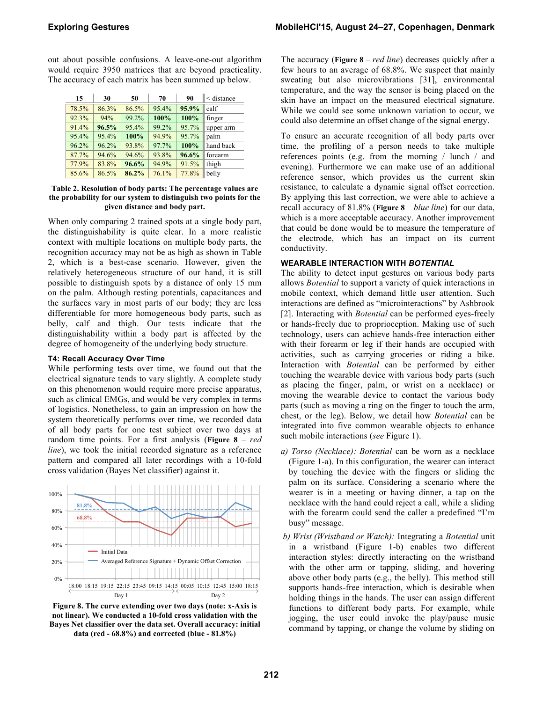out about possible confusions. A leave-one-out algorithm would require 3950 matrices that are beyond practicality. The accuracy of each matrix has been summed up below.

| 15    | 30    | 50    | 70    | 90    | < distance |  |
|-------|-------|-------|-------|-------|------------|--|
| 78.5% | 86.3% | 86.5% | 95.4% | 95.9% | calf       |  |
| 92.3% | 94%   | 99.2% | 100%  | 100%  | finger     |  |
| 91.4% | 96.5% | 95.4% | 99.2% | 95.7% | upper arm  |  |
| 95.4% | 95.4% | 100%  | 94.9% | 95.7% | palm       |  |
| 96.2% | 96.2% | 93.8% | 97.7% | 100%  | hand back  |  |
| 87.7% | 94.6% | 94.6% | 93.8% | 96.6% | forearm    |  |
| 77.9% | 83.8% | 96.6% | 94.9% | 91.5% | thigh      |  |
| 85.6% | 86.5% | 86.2% | 76.1% | 77.8% | belly      |  |

#### **Table 2. Resolution of body parts: The percentage values are the probability for our system to distinguish two points for the given distance and body part.**

When only comparing 2 trained spots at a single body part, the distinguishability is quite clear. In a more realistic context with multiple locations on multiple body parts, the recognition accuracy may not be as high as shown in Table 2, which is a best-case scenario. However, given the relatively heterogeneous structure of our hand, it is still possible to distinguish spots by a distance of only 15 mm on the palm. Although resting potentials, capacitances and the surfaces vary in most parts of our body; they are less differentiable for more homogeneous body parts, such as belly, calf and thigh. Our tests indicate that the distinguishability within a body part is affected by the degree of homogeneity of the underlying body structure.

#### **T4: Recall Accuracy Over Time**

While performing tests over time, we found out that the electrical signature tends to vary slightly. A complete study on this phenomenon would require more precise apparatus, such as clinical EMGs, and would be very complex in terms of logistics. Nonetheless, to gain an impression on how the system theoretically performs over time, we recorded data of all body parts for one test subject over two days at random time points. For a first analysis (**Figure 8** *– red line*), we took the initial recorded signature as a reference pattern and compared all later recordings with a 10-fold cross validation (Bayes Net classifier) against it.



**Figure 8. The curve extending over two days (note: x-Axis is not linear). We conducted a 10-fold cross validation with the Bayes Net classifier over the data set. Overall accuracy: initial data (red - 68.8%) and corrected (blue - 81.8%)**

The accuracy (**Figure 8** *– red line*) decreases quickly after a few hours to an average of 68.8%. We suspect that mainly sweating but also microvibrations [31], environmental temperature, and the way the sensor is being placed on the skin have an impact on the measured electrical signature. While we could see some unknown variation to occur, we could also determine an offset change of the signal energy.

To ensure an accurate recognition of all body parts over time, the profiling of a person needs to take multiple references points (e.g. from the morning / lunch / and evening). Furthermore we can make use of an additional reference sensor, which provides us the current skin resistance, to calculate a dynamic signal offset correction. By applying this last correction, we were able to achieve a recall accuracy of 81.8% (**Figure 8** *– blue line*) for our data, which is a more acceptable accuracy. Another improvement that could be done would be to measure the temperature of the electrode, which has an impact on its current conductivity.

#### **WEARABLE INTERACTION WITH** *BOTENTIAL*

The ability to detect input gestures on various body parts allows *Botential* to support a variety of quick interactions in mobile context, which demand little user attention. Such interactions are defined as "microinteractions" by Ashbrook [2]. Interacting with *Botential* can be performed eyes-freely or hands-freely due to proprioception. Making use of such technology, users can achieve hands-free interaction either with their forearm or leg if their hands are occupied with activities, such as carrying groceries or riding a bike. Interaction with *Botential* can be performed by either touching the wearable device with various body parts (such as placing the finger, palm, or wrist on a necklace) or moving the wearable device to contact the various body parts (such as moving a ring on the finger to touch the arm, chest, or the leg). Below, we detail how *Botential* can be integrated into five common wearable objects to enhance such mobile interactions (*see* Figure 1).

- *a) Torso (Necklace): Botential* can be worn as a necklace (Figure 1-a). In this configuration, the wearer can interact by touching the device with the fingers or sliding the palm on its surface. Considering a scenario where the wearer is in a meeting or having dinner, a tap on the necklace with the hand could reject a call, while a sliding with the forearm could send the caller a predefined "I'm busy" message.
- *b) Wrist (Wristband or Watch):* Integrating a *Botential* unit in a wristband (Figure 1-b) enables two different interaction styles: directly interacting on the wristband with the other arm or tapping, sliding, and hovering above other body parts (e.g., the belly). This method still supports hands-free interaction, which is desirable when holding things in the hands. The user can assign different functions to different body parts. For example, while jogging, the user could invoke the play/pause music command by tapping, or change the volume by sliding on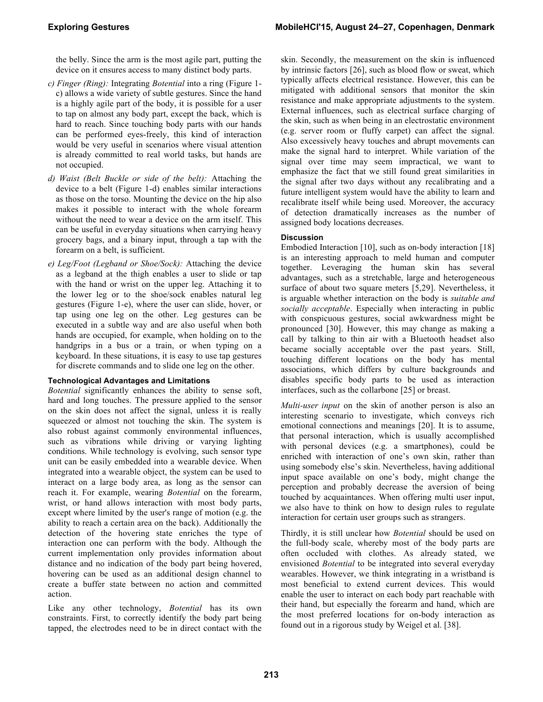the belly. Since the arm is the most agile part, putting the device on it ensures access to many distinct body parts.

- *c) Finger (Ring):* Integrating *Botential* into a ring (Figure 1 c) allows a wide variety of subtle gestures. Since the hand is a highly agile part of the body, it is possible for a user to tap on almost any body part, except the back, which is hard to reach. Since touching body parts with our hands can be performed eyes-freely, this kind of interaction would be very useful in scenarios where visual attention is already committed to real world tasks, but hands are not occupied.
- *d) Waist (Belt Buckle or side of the belt):* Attaching the device to a belt (Figure 1-d) enables similar interactions as those on the torso. Mounting the device on the hip also makes it possible to interact with the whole forearm without the need to wear a device on the arm itself. This can be useful in everyday situations when carrying heavy grocery bags, and a binary input, through a tap with the forearm on a belt, is sufficient.
- *e) Leg/Foot (Legband or Shoe/Sock):* Attaching the device as a legband at the thigh enables a user to slide or tap with the hand or wrist on the upper leg. Attaching it to the lower leg or to the shoe/sock enables natural leg gestures (Figure 1-e), where the user can slide, hover, or tap using one leg on the other. Leg gestures can be executed in a subtle way and are also useful when both hands are occupied, for example, when holding on to the handgrips in a bus or a train, or when typing on a keyboard. In these situations, it is easy to use tap gestures for discrete commands and to slide one leg on the other.

#### **Technological Advantages and Limitations**

*Botential* significantly enhances the ability to sense soft, hard and long touches. The pressure applied to the sensor on the skin does not affect the signal, unless it is really squeezed or almost not touching the skin. The system is also robust against commonly environmental influences, such as vibrations while driving or varying lighting conditions. While technology is evolving, such sensor type unit can be easily embedded into a wearable device. When integrated into a wearable object, the system can be used to interact on a large body area, as long as the sensor can reach it. For example, wearing *Botential* on the forearm, wrist, or hand allows interaction with most body parts, except where limited by the user's range of motion (e.g. the ability to reach a certain area on the back). Additionally the detection of the hovering state enriches the type of interaction one can perform with the body. Although the current implementation only provides information about distance and no indication of the body part being hovered, hovering can be used as an additional design channel to create a buffer state between no action and committed action.

Like any other technology, *Botential* has its own constraints. First, to correctly identify the body part being tapped, the electrodes need to be in direct contact with the

skin. Secondly, the measurement on the skin is influenced by intrinsic factors [26], such as blood flow or sweat, which typically affects electrical resistance. However, this can be mitigated with additional sensors that monitor the skin resistance and make appropriate adjustments to the system. External influences, such as electrical surface charging of the skin, such as when being in an electrostatic environment (e.g. server room or fluffy carpet) can affect the signal. Also excessively heavy touches and abrupt movements can make the signal hard to interpret. While variation of the signal over time may seem impractical, we want to emphasize the fact that we still found great similarities in the signal after two days without any recalibrating and a future intelligent system would have the ability to learn and recalibrate itself while being used. Moreover, the accuracy of detection dramatically increases as the number of assigned body locations decreases.

# **Discussion**

Embodied Interaction [10], such as on-body interaction [18] is an interesting approach to meld human and computer together. Leveraging the human skin has several advantages, such as a stretchable, large and heterogeneous surface of about two square meters [5,29]. Nevertheless, it is arguable whether interaction on the body is *suitable and socially acceptable*. Especially when interacting in public with conspicuous gestures, social awkwardness might be pronounced [30]. However, this may change as making a call by talking to thin air with a Bluetooth headset also became socially acceptable over the past years. Still, touching different locations on the body has mental associations, which differs by culture backgrounds and disables specific body parts to be used as interaction interfaces, such as the collarbone [25] or breast.

*Multi-user input* on the skin of another person is also an interesting scenario to investigate, which conveys rich emotional connections and meanings [20]. It is to assume, that personal interaction, which is usually accomplished with personal devices (e.g. a smartphones), could be enriched with interaction of one's own skin, rather than using somebody else's skin. Nevertheless, having additional input space available on one's body, might change the perception and probably decrease the aversion of being touched by acquaintances. When offering multi user input, we also have to think on how to design rules to regulate interaction for certain user groups such as strangers.

Thirdly, it is still unclear how *Botential* should be used on the full-body scale, whereby most of the body parts are often occluded with clothes. As already stated, we envisioned *Botential* to be integrated into several everyday wearables. However, we think integrating in a wristband is most beneficial to extend current devices. This would enable the user to interact on each body part reachable with their hand, but especially the forearm and hand, which are the most preferred locations for on-body interaction as found out in a rigorous study by Weigel et al. [38].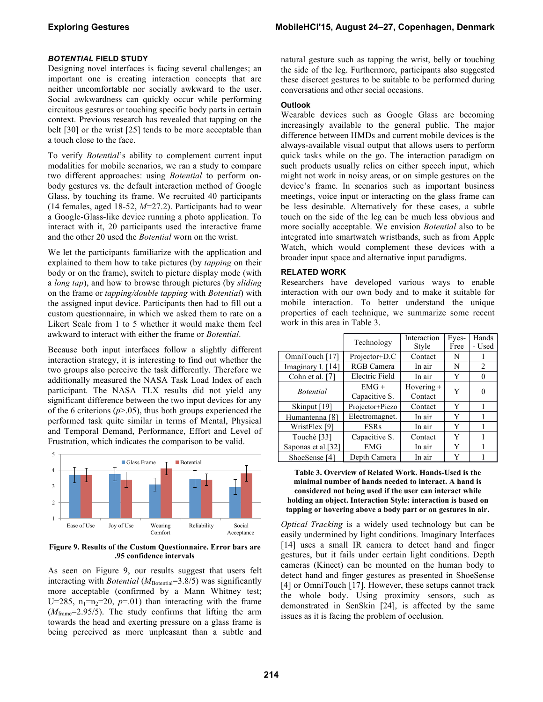#### *BOTENTIAL* **FIELD STUDY**

Designing novel interfaces is facing several challenges; an important one is creating interaction concepts that are neither uncomfortable nor socially awkward to the user. Social awkwardness can quickly occur while performing circuitous gestures or touching specific body parts in certain context. Previous research has revealed that tapping on the belt [30] or the wrist [25] tends to be more acceptable than a touch close to the face.

To verify *Botential*'s ability to complement current input modalities for mobile scenarios, we ran a study to compare two different approaches: using *Botential* to perform onbody gestures vs. the default interaction method of Google Glass, by touching its frame. We recruited 40 participants (14 females, aged 18-52, *M*=27.2). Participants had to wear a Google-Glass-like device running a photo application. To interact with it, 20 participants used the interactive frame and the other 20 used the *Botential* worn on the wrist.

We let the participants familiarize with the application and explained to them how to take pictures (by *tapping* on their body or on the frame), switch to picture display mode (with a *long tap*), and how to browse through pictures (by *sliding* on the frame or *tapping/double tapping* with *Botential*) with the assigned input device. Participants then had to fill out a custom questionnaire, in which we asked them to rate on a Likert Scale from 1 to 5 whether it would make them feel awkward to interact with either the frame or *Botential*.

Because both input interfaces follow a slightly different interaction strategy, it is interesting to find out whether the two groups also perceive the task differently. Therefore we additionally measured the NASA Task Load Index of each participant. The NASA TLX results did not yield any significant difference between the two input devices for any of the 6 criterions (*p*>.05), thus both groups experienced the performed task quite similar in terms of Mental, Physical and Temporal Demand, Performance, Effort and Level of Frustration, which indicates the comparison to be valid.



**Figure 9. Results of the Custom Questionnaire. Error bars are .95 confidence intervals**

As seen on Figure 9, our results suggest that users felt interacting with *Botential* ( $M<sub>Botential</sub>=3.8/5$ ) was significantly more acceptable (confirmed by a Mann Whitney test; U=285,  $n_1=n_2=20$ ,  $p=.01$ ) than interacting with the frame  $(M<sub>frame</sub>=2.95/5)$ . The study confirms that lifting the arm towards the head and exerting pressure on a glass frame is being perceived as more unpleasant than a subtle and natural gesture such as tapping the wrist, belly or touching the side of the leg. Furthermore, participants also suggested these discreet gestures to be suitable to be performed during conversations and other social occasions.

#### **Outlook**

Wearable devices such as Google Glass are becoming increasingly available to the general public. The major difference between HMDs and current mobile devices is the always-available visual output that allows users to perform quick tasks while on the go. The interaction paradigm on such products usually relies on either speech input, which might not work in noisy areas, or on simple gestures on the device's frame. In scenarios such as important business meetings, voice input or interacting on the glass frame can be less desirable. Alternatively for these cases, a subtle touch on the side of the leg can be much less obvious and more socially acceptable. We envision *Botential* also to be integrated into smartwatch wristbands, such as from Apple Watch, which would complement these devices with a broader input space and alternative input paradigms.

#### **RELATED WORK**

Researchers have developed various ways to enable interaction with our own body and to make it suitable for mobile interaction. To better understand the unique properties of each technique, we summarize some recent work in this area in Table 3.

|                    | Technology               | Interaction<br>Style    | Eyes-<br>Free | Hands<br>- Used |
|--------------------|--------------------------|-------------------------|---------------|-----------------|
| OmniTouch [17]     | Projector+D.C            | Contact                 | N             |                 |
| Imaginary I. [14]  | <b>RGB</b> Camera        | In air                  | N             | 2               |
| Cohn et al. [7]    | Electric Field           | In air                  | Y             | $\Omega$        |
| <b>Botential</b>   | $EMG +$<br>Capacitive S. | Hovering $+$<br>Contact | Y             | 0               |
| Skinput [19]       | Projector+Piezo          | Contact                 | Y             |                 |
| Humantenna [8]     | Electromagnet.           | In air                  | Y             |                 |
| WristFlex [9]      | <b>FSRs</b>              | In air                  | Y             |                 |
| Touché [33]        | Capacitive S.            | Contact                 | Y             |                 |
| Saponas et al.[32] | <b>EMG</b>               | In air                  | Y             |                 |
| ShoeSense [4]      | Depth Camera             | In air                  | Y             |                 |

#### **Table 3. Overview of Related Work. Hands-Used is the minimal number of hands needed to interact. A hand is considered not being used if the user can interact while holding an object. Interaction Style: interaction is based on tapping or hovering above a body part or on gestures in air.**

*Optical Tracking* is a widely used technology but can be easily undermined by light conditions. Imaginary Interfaces [14] uses a small IR camera to detect hand and finger gestures, but it fails under certain light conditions. Depth cameras (Kinect) can be mounted on the human body to detect hand and finger gestures as presented in ShoeSense [4] or OmniTouch [17]. However, these setups cannot track the whole body. Using proximity sensors, such as demonstrated in SenSkin [24], is affected by the same issues as it is facing the problem of occlusion.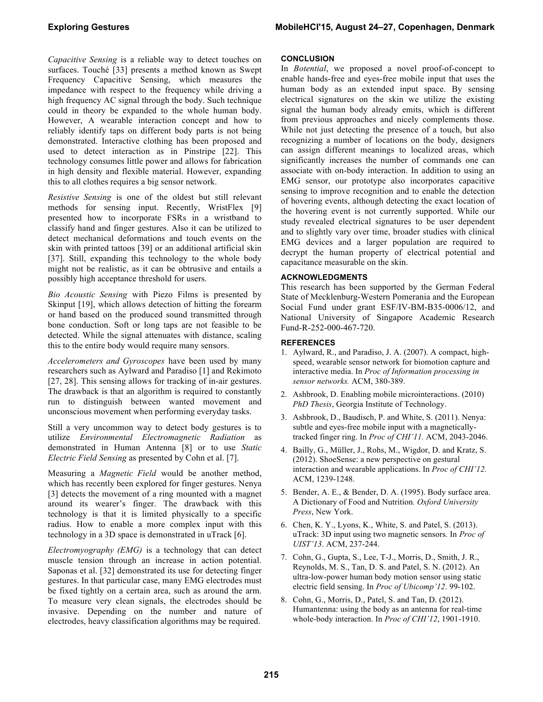*Capacitive Sensing* is a reliable way to detect touches on surfaces. Touché [33] presents a method known as Swept Frequency Capacitive Sensing, which measures the impedance with respect to the frequency while driving a high frequency AC signal through the body. Such technique could in theory be expanded to the whole human body. However, A wearable interaction concept and how to reliably identify taps on different body parts is not being demonstrated. Interactive clothing has been proposed and used to detect interaction as in Pinstripe [22]. This technology consumes little power and allows for fabrication in high density and flexible material. However, expanding this to all clothes requires a big sensor network.

*Resistive Sensing* is one of the oldest but still relevant methods for sensing input. Recently, WristFlex [9] presented how to incorporate FSRs in a wristband to classify hand and finger gestures. Also it can be utilized to detect mechanical deformations and touch events on the skin with printed tattoos [39] or an additional artificial skin [37]. Still, expanding this technology to the whole body might not be realistic, as it can be obtrusive and entails a possibly high acceptance threshold for users.

*Bio Acoustic Sensing* with Piezo Films is presented by Skinput [19], which allows detection of hitting the forearm or hand based on the produced sound transmitted through bone conduction. Soft or long taps are not feasible to be detected. While the signal attenuates with distance, scaling this to the entire body would require many sensors.

*Accelerometers and Gyroscopes* have been used by many researchers such as Aylward and Paradiso [1] and Rekimoto [27, 28]. This sensing allows for tracking of in-air gestures. The drawback is that an algorithm is required to constantly run to distinguish between wanted movement and unconscious movement when performing everyday tasks.

Still a very uncommon way to detect body gestures is to utilize *Environmental Electromagnetic Radiation* as demonstrated in Human Antenna [8] or to use *Static Electric Field Sensing* as presented by Cohn et al. [7].

Measuring a *Magnetic Field* would be another method, which has recently been explored for finger gestures. Nenya [3] detects the movement of a ring mounted with a magnet around its wearer's finger. The drawback with this technology is that it is limited physically to a specific radius. How to enable a more complex input with this technology in a 3D space is demonstrated in uTrack [6].

*Electromyography (EMG)* is a technology that can detect muscle tension through an increase in action potential. Saponas et al. [32] demonstrated its use for detecting finger gestures. In that particular case, many EMG electrodes must be fixed tightly on a certain area, such as around the arm. To measure very clean signals, the electrodes should be invasive. Depending on the number and nature of electrodes, heavy classification algorithms may be required.

# **CONCLUSION**

In *Botential*, we proposed a novel proof-of-concept to enable hands-free and eyes-free mobile input that uses the human body as an extended input space. By sensing electrical signatures on the skin we utilize the existing signal the human body already emits, which is different from previous approaches and nicely complements those. While not just detecting the presence of a touch, but also recognizing a number of locations on the body, designers can assign different meanings to localized areas, which significantly increases the number of commands one can associate with on-body interaction. In addition to using an EMG sensor, our prototype also incorporates capacitive sensing to improve recognition and to enable the detection of hovering events, although detecting the exact location of the hovering event is not currently supported. While our study revealed electrical signatures to be user dependent and to slightly vary over time, broader studies with clinical EMG devices and a larger population are required to decrypt the human property of electrical potential and capacitance measurable on the skin.

# **ACKNOWLEDGMENTS**

This research has been supported by the German Federal State of Mecklenburg-Western Pomerania and the European Social Fund under grant ESF/IV-BM-B35-0006/12, and National University of Singapore Academic Research Fund-R-252-000-467-720.

# **REFERENCES**

- 1. Aylward, R., and Paradiso, J. A. (2007). A compact, highspeed, wearable sensor network for biomotion capture and interactive media. In *Proc of Information processing in sensor networks.* ACM, 380-389.
- 2. Ashbrook, D. Enabling mobile microinteractions. (2010) *PhD Thesis*, Georgia Institute of Technology.
- 3. Ashbrook, D., Baudisch, P. and White, S. (2011). Nenya: subtle and eyes-free mobile input with a magneticallytracked finger ring. In *Proc of CHI'11.* ACM, 2043-2046.
- 4. Bailly, G., Müller, J., Rohs, M., Wigdor, D. and Kratz, S. (2012). ShoeSense: a new perspective on gestural interaction and wearable applications. In *Proc of CHI'12.* ACM, 1239-1248.
- 5. Bender, A. E., & Bender, D. A. (1995). Body surface area. A Dictionary of Food and Nutrition*. Oxford University Press*, New York.
- 6. Chen, K. Y., Lyons, K., White, S. and Patel, S. (2013). uTrack: 3D input using two magnetic sensors. In *Proc of UIST'13*. ACM, 237-244.
- 7. Cohn, G., Gupta, S., Lee, T-J., Morris, D., Smith, J. R., Reynolds, M. S., Tan, D. S. and Patel, S. N. (2012). An ultra-low-power human body motion sensor using static electric field sensing. In *Proc of Ubicomp'12*. 99-102.
- 8. Cohn, G., Morris, D., Patel, S. and Tan, D. (2012). Humantenna: using the body as an antenna for real-time whole-body interaction. In *Proc of CHI'12*, 1901-1910.